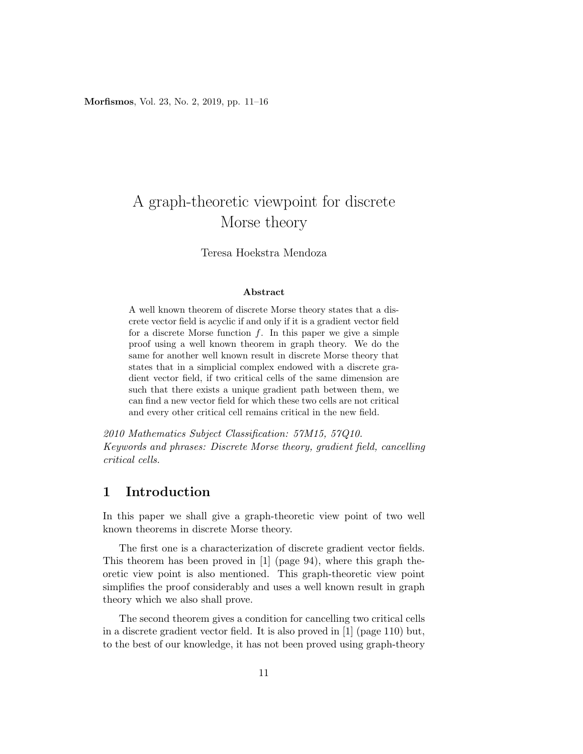Morfismos, Vol. 23, No. 2, 2019, pp. 11–16

# A graph-theoretic viewpoint for discrete Morse theory

#### Teresa Hoekstra Mendoza

#### Abstract

A well known theorem of discrete Morse theory states that a discrete vector field is acyclic if and only if it is a gradient vector field for a discrete Morse function  $f$ . In this paper we give a simple proof using a well known theorem in graph theory. We do the same for another well known result in discrete Morse theory that states that in a simplicial complex endowed with a discrete gradient vector field, if two critical cells of the same dimension are such that there exists a unique gradient path between them, we can find a new vector field for which these two cells are not critical and every other critical cell remains critical in the new field.

2010 Mathematics Subject Classification: 57M15, 57Q10. Keywords and phrases: Discrete Morse theory, gradient field, cancelling critical cells.

#### 1 Introduction

In this paper we shall give a graph-theoretic view point of two well known theorems in discrete Morse theory.

The first one is a characterization of discrete gradient vector fields. This theorem has been proved in [1] (page 94), where this graph theoretic view point is also mentioned. This graph-theoretic view point simplifies the proof considerably and uses a well known result in graph theory which we also shall prove.

The second theorem gives a condition for cancelling two critical cells in a discrete gradient vector field. It is also proved in [1] (page 110) but, to the best of our knowledge, it has not been proved using graph-theory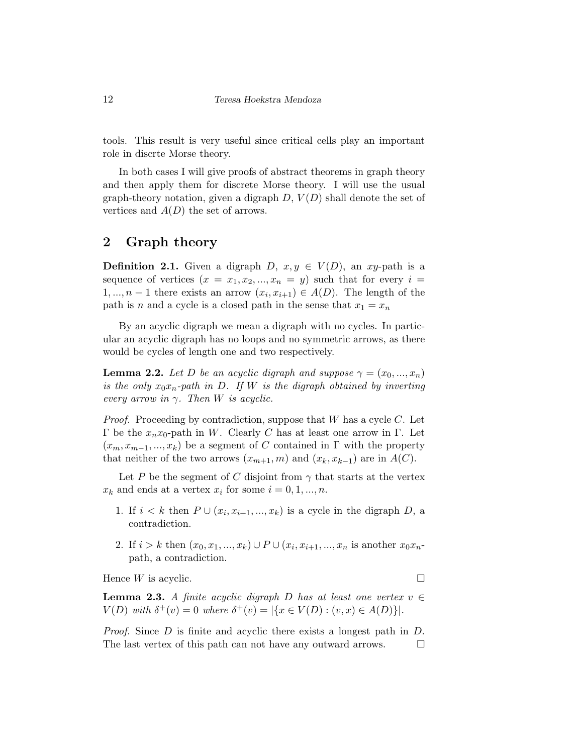tools. This result is very useful since critical cells play an important role in discrte Morse theory.

In both cases I will give proofs of abstract theorems in graph theory and then apply them for discrete Morse theory. I will use the usual graph-theory notation, given a digraph  $D, V(D)$  shall denote the set of vertices and  $A(D)$  the set of arrows.

## 2 Graph theory

**Definition 2.1.** Given a digraph D,  $x, y \in V(D)$ , an xy-path is a sequence of vertices  $(x = x_1, x_2, ..., x_n = y)$  such that for every  $i =$  $1, ..., n-1$  there exists an arrow  $(x_i, x_{i+1}) \in A(D)$ . The length of the path is n and a cycle is a closed path in the sense that  $x_1 = x_n$ 

By an acyclic digraph we mean a digraph with no cycles. In particular an acyclic digraph has no loops and no symmetric arrows, as there would be cycles of length one and two respectively.

**Lemma 2.2.** Let D be an acyclic digraph and suppose  $\gamma = (x_0, ..., x_n)$ is the only  $x_0x_n$ -path in D. If W is the digraph obtained by inverting every arrow in  $\gamma$ . Then W is acyclic.

*Proof.* Proceeding by contradiction, suppose that  $W$  has a cycle  $C$ . Let Γ be the  $x_n x_0$ -path in W. Clearly C has at least one arrow in Γ. Let  $(x_m, x_{m-1}, ..., x_k)$  be a segment of C contained in  $\Gamma$  with the property that neither of the two arrows  $(x_{m+1}, m)$  and  $(x_k, x_{k-1})$  are in  $A(C)$ .

Let P be the segment of C disjoint from  $\gamma$  that starts at the vertex  $x_k$  and ends at a vertex  $x_i$  for some  $i = 0, 1, ..., n$ .

- 1. If  $i < k$  then  $P \cup (x_i, x_{i+1}, ..., x_k)$  is a cycle in the digraph  $D$ , a contradiction.
- 2. If  $i > k$  then  $(x_0, x_1, ..., x_k) \cup P \cup (x_i, x_{i+1}, ..., x_n)$  is another  $x_0x_n$ path, a contradiction.

Hence  $W$  is acyclic.

**Lemma 2.3.** A finite acyclic digraph D has at least one vertex  $v \in$  $V(D)$  with  $\delta^+(v) = 0$  where  $\delta^+(v) = |\{x \in V(D) : (v, x) \in A(D)\}|$ .

Proof. Since D is finite and acyclic there exists a longest path in D. The last vertex of this path can not have any outward arrows.  $\Box$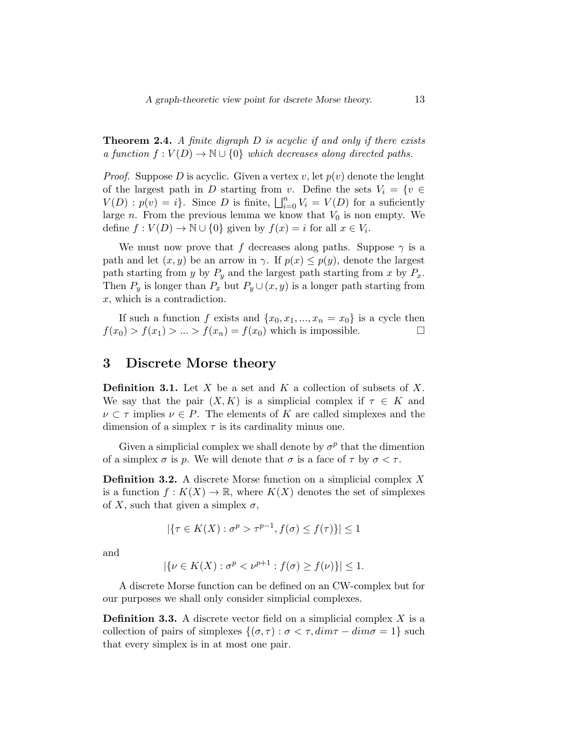**Theorem 2.4.** A finite digraph  $D$  is acyclic if and only if there exists a function  $f: V(D) \to \mathbb{N} \cup \{0\}$  which decreases along directed paths.

*Proof.* Suppose D is acyclic. Given a vertex v, let  $p(v)$  denote the lenght of the largest path in D starting from v. Define the sets  $V_i = \{v \in$  $V(D): p(v) = i$ . Since D is finite,  $\bigsqcup_{i=0}^{n} V_i = V(D)$  for a suficiently large n. From the previous lemma we know that  $V_0$  is non empty. We define  $f: V(D) \to \mathbb{N} \cup \{0\}$  given by  $f(x) = i$  for all  $x \in V_i$ .

We must now prove that f decreases along paths. Suppose  $\gamma$  is a path and let  $(x, y)$  be an arrow in  $\gamma$ . If  $p(x) \leq p(y)$ , denote the largest path starting from y by  $P_y$  and the largest path starting from x by  $P_x$ . Then  $P_y$  is longer than  $P_x$  but  $P_y \cup (x, y)$  is a longer path starting from x, which is a contradiction.

If such a function f exists and  $\{x_0, x_1, ..., x_n = x_0\}$  is a cycle then  $f(x_0) > f(x_1) > ... > f(x_n) = f(x_0)$  which is impossible.

## 3 Discrete Morse theory

**Definition 3.1.** Let  $X$  be a set and  $K$  a collection of subsets of  $X$ . We say that the pair  $(X, K)$  is a simplicial complex if  $\tau \in K$  and  $\nu \subset \tau$  implies  $\nu \in P$ . The elements of K are called simplexes and the dimension of a simplex  $\tau$  is its cardinality minus one.

Given a simplicial complex we shall denote by  $\sigma^p$  that the dimention of a simplex  $\sigma$  is p. We will denote that  $\sigma$  is a face of  $\tau$  by  $\sigma < \tau$ .

Definition 3.2. A discrete Morse function on a simplicial complex X is a function  $f: K(X) \to \mathbb{R}$ , where  $K(X)$  denotes the set of simplexes of X, such that given a simplex  $\sigma$ ,

$$
|\{\tau \in K(X) : \sigma^p > \tau^{p-1}, f(\sigma) \le f(\tau)\}| \le 1
$$

and

$$
|\{\nu \in K(X) : \sigma^p < \nu^{p+1} : f(\sigma) \ge f(\nu)\}| \le 1.
$$

A discrete Morse function can be defined on an CW-complex but for our purposes we shall only consider simplicial complexes.

**Definition 3.3.** A discrete vector field on a simplicial complex  $X$  is a collection of pairs of simplexes  $\{(\sigma, \tau) : \sigma < \tau, dim\tau - dim\sigma = 1\}$  such that every simplex is in at most one pair.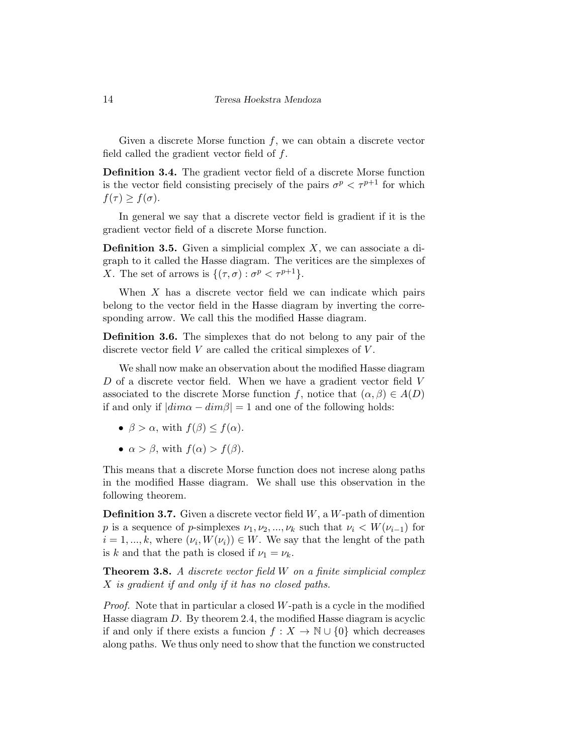Given a discrete Morse function  $f$ , we can obtain a discrete vector field called the gradient vector field of f.

Definition 3.4. The gradient vector field of a discrete Morse function is the vector field consisting precisely of the pairs  $\sigma^p < \tau^{p+1}$  for which  $f(\tau) \geq f(\sigma)$ .

In general we say that a discrete vector field is gradient if it is the gradient vector field of a discrete Morse function.

**Definition 3.5.** Given a simplicial complex  $X$ , we can associate a digraph to it called the Hasse diagram. The veritices are the simplexes of X. The set of arrows is  $\{(\tau,\sigma): \sigma^p < \tau^{p+1}\}.$ 

When  $X$  has a discrete vector field we can indicate which pairs belong to the vector field in the Hasse diagram by inverting the corresponding arrow. We call this the modified Hasse diagram.

Definition 3.6. The simplexes that do not belong to any pair of the discrete vector field  $V$  are called the critical simplexes of  $V$ .

We shall now make an observation about the modified Hasse diagram  $D$  of a discrete vector field. When we have a gradient vector field  $V$ associated to the discrete Morse function f, notice that  $(\alpha, \beta) \in A(D)$ if and only if  $|dim\alpha - dim\beta| = 1$  and one of the following holds:

- $\beta > \alpha$ , with  $f(\beta) \leq f(\alpha)$ .
- $\alpha > \beta$ , with  $f(\alpha) > f(\beta)$ .

This means that a discrete Morse function does not increse along paths in the modified Hasse diagram. We shall use this observation in the following theorem.

**Definition 3.7.** Given a discrete vector field  $W$ , a  $W$ -path of dimention p is a sequence of p-simplexes  $\nu_1, \nu_2, ..., \nu_k$  such that  $\nu_i < W(\nu_{i-1})$  for  $i = 1, ..., k$ , where  $(\nu_i, W(\nu_i)) \in W$ . We say that the lenght of the path is k and that the path is closed if  $\nu_1 = \nu_k$ .

**Theorem 3.8.** A discrete vector field W on a finite simplicial complex X is gradient if and only if it has no closed paths.

Proof. Note that in particular a closed W-path is a cycle in the modified Hasse diagram D. By theorem 2.4, the modified Hasse diagram is acyclic if and only if there exists a funcion  $f: X \to \mathbb{N} \cup \{0\}$  which decreases along paths. We thus only need to show that the function we constructed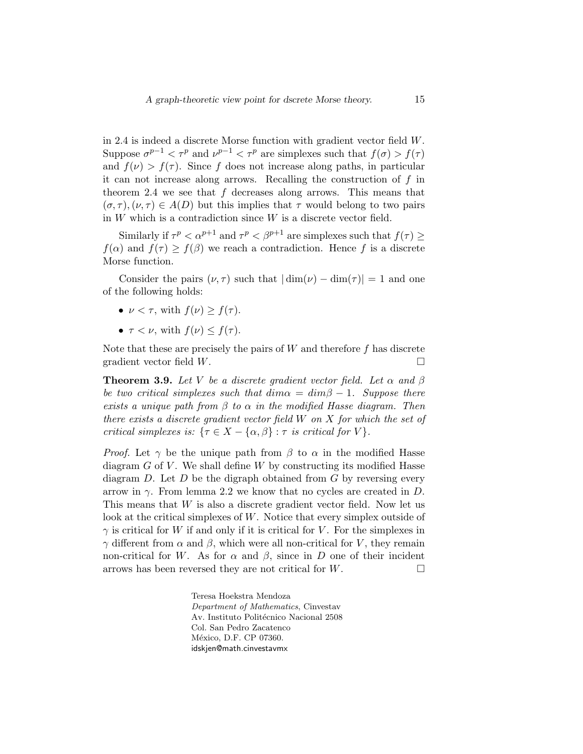in 2.4 is indeed a discrete Morse function with gradient vector field W. Suppose  $\sigma^{p-1} < \tau^p$  and  $\nu^{p-1} < \tau^p$  are simplexes such that  $f(\sigma) > f(\tau)$ and  $f(\nu) > f(\tau)$ . Since f does not increase along paths, in particular it can not increase along arrows. Recalling the construction of f in theorem 2.4 we see that  $f$  decreases along arrows. This means that  $(\sigma, \tau)$ ,  $(\nu, \tau) \in A(D)$  but this implies that  $\tau$  would belong to two pairs in  $W$  which is a contradiction since  $W$  is a discrete vector field.

Similarly if  $\tau^p < \alpha^{p+1}$  and  $\tau^p < \beta^{p+1}$  are simplexes such that  $f(\tau) \geq$  $f(\alpha)$  and  $f(\tau) \geq f(\beta)$  we reach a contradiction. Hence f is a discrete Morse function.

Consider the pairs  $(\nu, \tau)$  such that  $|\dim(\nu) - \dim(\tau)| = 1$  and one of the following holds:

- $\nu < \tau$ , with  $f(\nu) > f(\tau)$ .
- $\tau < \nu$ , with  $f(\nu) \leq f(\tau)$ .

Note that these are precisely the pairs of  $W$  and therefore f has discrete gradient vector field  $W$ .

**Theorem 3.9.** Let V be a discrete gradient vector field. Let  $\alpha$  and  $\beta$ be two critical simplexes such that  $\dim \alpha = \dim \beta - 1$ . Suppose there exists a unique path from  $\beta$  to  $\alpha$  in the modified Hasse diagram. Then there exists a discrete gradient vector field W on X for which the set of critical simplexes is:  $\{\tau \in X - \{\alpha, \beta\} : \tau \text{ is critical for } V\}.$ 

*Proof.* Let  $\gamma$  be the unique path from  $\beta$  to  $\alpha$  in the modified Hasse diagram  $G$  of  $V$ . We shall define  $W$  by constructing its modified Hasse diagram  $D$ . Let  $D$  be the digraph obtained from  $G$  by reversing every arrow in  $\gamma$ . From lemma 2.2 we know that no cycles are created in D. This means that W is also a discrete gradient vector field. Now let us look at the critical simplexes of W. Notice that every simplex outside of  $\gamma$  is critical for W if and only if it is critical for V. For the simplexes in  $γ$  different from  $α$  and  $β$ , which were all non-critical for V, they remain non-critical for W. As for  $\alpha$  and  $\beta$ , since in D one of their incident arrows has been reversed they are not critical for  $W$ .

> Teresa Hoekstra Mendoza Department of Mathematics, Cinvestav Av. Instituto Politécnico Nacional 2508 Col. San Pedro Zacatenco México, D.F. CP 07360. idskjen@math.cinvestavmx